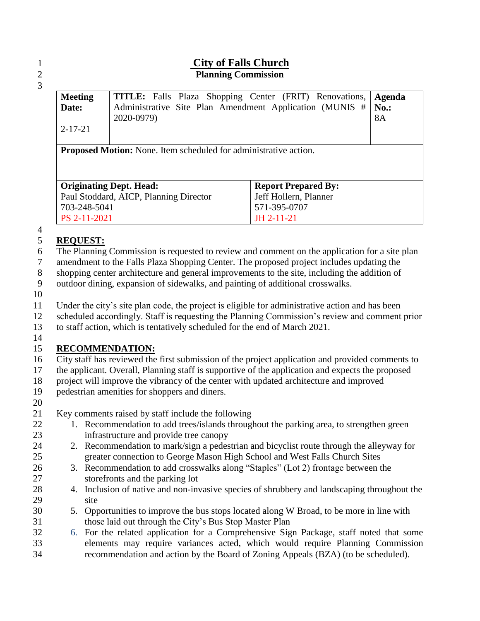### **City of Falls Church Planning Commission**

| <b>Meeting</b><br>Date:<br>$2 - 17 - 21$                                | <b>TITLE:</b> Falls Plaza Shopping Center (FRIT) Renovations,<br>Administrative Site Plan Amendment Application (MUNIS #<br>2020-0979) |                       | Agenda<br>$No.$ :<br><b>8A</b> |  |  |  |
|-------------------------------------------------------------------------|----------------------------------------------------------------------------------------------------------------------------------------|-----------------------|--------------------------------|--|--|--|
| <b>Proposed Motion:</b> None. Item scheduled for administrative action. |                                                                                                                                        |                       |                                |  |  |  |
|                                                                         |                                                                                                                                        |                       |                                |  |  |  |
| <b>Originating Dept. Head:</b><br><b>Report Prepared By:</b>            |                                                                                                                                        |                       |                                |  |  |  |
| Paul Stoddard, AICP, Planning Director                                  |                                                                                                                                        | Jeff Hollern, Planner |                                |  |  |  |
| 703-248-5041                                                            | 571-395-0707                                                                                                                           |                       |                                |  |  |  |
| PS 2-11-2021                                                            |                                                                                                                                        | JH 2-11-21            |                                |  |  |  |

## **REQUEST:**

The Planning Commission is requested to review and comment on the application for a site plan

amendment to the Falls Plaza Shopping Center. The proposed project includes updating the

shopping center architecture and general improvements to the site, including the addition of

outdoor dining, expansion of sidewalks, and painting of additional crosswalks.

Under the city's site plan code, the project is eligible for administrative action and has been

scheduled accordingly. Staff is requesting the Planning Commission's review and comment prior

to staff action, which is tentatively scheduled for the end of March 2021.

## **RECOMMENDATION:**

City staff has reviewed the first submission of the project application and provided comments to

the applicant. Overall, Planning staff is supportive of the application and expects the proposed

project will improve the vibrancy of the center with updated architecture and improved

- pedestrian amenities for shoppers and diners.
- 

Key comments raised by staff include the following

- 22 1. Recommendation to add trees/islands throughout the parking area, to strengthen green infrastructure and provide tree canopy
- 2. Recommendation to mark/sign a pedestrian and bicyclist route through the alleyway for greater connection to George Mason High School and West Falls Church Sites
- 3. Recommendation to add crosswalks along "Staples" (Lot 2) frontage between the storefronts and the parking lot
- 4. Inclusion of native and non-invasive species of shrubbery and landscaping throughout the site
- 5. Opportunities to improve the bus stops located along W Broad, to be more in line with those laid out through the City's Bus Stop Master Plan
- 6. For the related application for a Comprehensive Sign Package, staff noted that some elements may require variances acted, which would require Planning Commission recommendation and action by the Board of Zoning Appeals (BZA) (to be scheduled).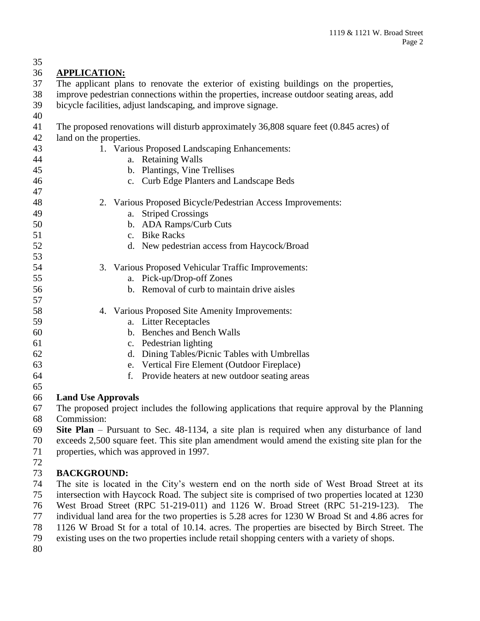| 35       |                                                                                                                                                                                                |  |  |  |  |
|----------|------------------------------------------------------------------------------------------------------------------------------------------------------------------------------------------------|--|--|--|--|
| 36       | <b>APPLICATION:</b>                                                                                                                                                                            |  |  |  |  |
| 37       | The applicant plans to renovate the exterior of existing buildings on the properties,                                                                                                          |  |  |  |  |
| 38       | improve pedestrian connections within the properties, increase outdoor seating areas, add                                                                                                      |  |  |  |  |
| 39       | bicycle facilities, adjust landscaping, and improve signage.                                                                                                                                   |  |  |  |  |
| 40       |                                                                                                                                                                                                |  |  |  |  |
| 41       | The proposed renovations will disturb approximately 36,808 square feet (0.845 acres) of                                                                                                        |  |  |  |  |
| 42       | land on the properties.                                                                                                                                                                        |  |  |  |  |
| 43       | 1. Various Proposed Landscaping Enhancements:                                                                                                                                                  |  |  |  |  |
| 44       | a. Retaining Walls                                                                                                                                                                             |  |  |  |  |
| 45       | b. Plantings, Vine Trellises                                                                                                                                                                   |  |  |  |  |
| 46       | c. Curb Edge Planters and Landscape Beds                                                                                                                                                       |  |  |  |  |
| 47       |                                                                                                                                                                                                |  |  |  |  |
| 48       | 2. Various Proposed Bicycle/Pedestrian Access Improvements:                                                                                                                                    |  |  |  |  |
| 49       | <b>Striped Crossings</b><br>a.                                                                                                                                                                 |  |  |  |  |
| 50       | b. ADA Ramps/Curb Cuts                                                                                                                                                                         |  |  |  |  |
| 51       | c. Bike Racks                                                                                                                                                                                  |  |  |  |  |
| 52       | d. New pedestrian access from Haycock/Broad                                                                                                                                                    |  |  |  |  |
| 53       |                                                                                                                                                                                                |  |  |  |  |
| 54       | 3. Various Proposed Vehicular Traffic Improvements:                                                                                                                                            |  |  |  |  |
| 55       | a. Pick-up/Drop-off Zones                                                                                                                                                                      |  |  |  |  |
| 56       | b. Removal of curb to maintain drive aisles                                                                                                                                                    |  |  |  |  |
| 57       |                                                                                                                                                                                                |  |  |  |  |
| 58       | 4. Various Proposed Site Amenity Improvements:                                                                                                                                                 |  |  |  |  |
| 59       | a. Litter Receptacles                                                                                                                                                                          |  |  |  |  |
| 60       | b. Benches and Bench Walls                                                                                                                                                                     |  |  |  |  |
| 61       | c. Pedestrian lighting                                                                                                                                                                         |  |  |  |  |
| 62       | d. Dining Tables/Picnic Tables with Umbrellas                                                                                                                                                  |  |  |  |  |
| 63       | e. Vertical Fire Element (Outdoor Fireplace)                                                                                                                                                   |  |  |  |  |
| 64       | Provide heaters at new outdoor seating areas<br>f.                                                                                                                                             |  |  |  |  |
| 65       |                                                                                                                                                                                                |  |  |  |  |
| 66       | <b>Land Use Approvals</b>                                                                                                                                                                      |  |  |  |  |
| 67       | The proposed project includes the following applications that require approval by the Planning                                                                                                 |  |  |  |  |
| 68       | Commission:                                                                                                                                                                                    |  |  |  |  |
| 69       | Site Plan – Pursuant to Sec. 48-1134, a site plan is required when any disturbance of land                                                                                                     |  |  |  |  |
| 70       | exceeds 2,500 square feet. This site plan amendment would amend the existing site plan for the                                                                                                 |  |  |  |  |
| 71       | properties, which was approved in 1997.                                                                                                                                                        |  |  |  |  |
| 72       |                                                                                                                                                                                                |  |  |  |  |
| 73       | <b>BACKGROUND:</b>                                                                                                                                                                             |  |  |  |  |
| 74<br>75 | The site is located in the City's western end on the north side of West Broad Street at its<br>intersection with Haycock Road. The subject site is comprised of two properties located at 1230 |  |  |  |  |

West Broad Street (RPC 51-219-011) and 1126 W. Broad Street (RPC 51-219-123). The

individual land area for the two properties is 5.28 acres for 1230 W Broad St and 4.86 acres for

78 1126 W Broad St for a total of 10.14. acres. The properties are bisected by Birch Street. The existing uses on the two properties include retail shopping centers with a variety of shops.

existing uses on the two properties include retail shopping centers with a variety of shops.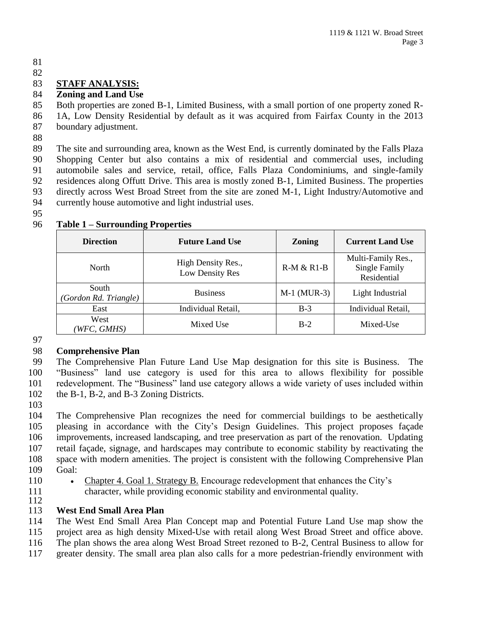#### 

## **STAFF ANALYSIS:**

#### **Zoning and Land Use**

 Both properties are zoned B-1, Limited Business, with a small portion of one property zoned R-1A, Low Density Residential by default as it was acquired from Fairfax County in the 2013

- boundary adjustment.
- 

 The site and surrounding area, known as the West End, is currently dominated by the Falls Plaza Shopping Center but also contains a mix of residential and commercial uses, including automobile sales and service, retail, office, Falls Plaza Condominiums, and single-family residences along Offutt Drive. This area is mostly zoned B-1, Limited Business. The properties directly across West Broad Street from the site are zoned M-1, Light Industry/Automotive and currently house automotive and light industrial uses.

| <b>Direction</b>               | <b>Future Land Use</b>                | <b>Zoning</b> | <b>Current Land Use</b>                            |
|--------------------------------|---------------------------------------|---------------|----------------------------------------------------|
| North                          | High Density Res.,<br>Low Density Res | $R-M & R1-B$  | Multi-Family Res.,<br>Single Family<br>Residential |
| South<br>(Gordon Rd. Triangle) | <b>Business</b>                       | $M-1$ (MUR-3) | Light Industrial                                   |
| East                           | Individual Retail,                    | $B-3$         | Individual Retail,                                 |
| West<br>WFC, GMHS)             | Mixed Use                             | $B-2$         | Mixed-Use                                          |

#### **Table 1 – Surrounding Properties**

### **Comprehensive Plan**

 The Comprehensive Plan Future Land Use Map designation for this site is Business. The "Business" land use category is used for this area to allows flexibility for possible redevelopment. The "Business" land use category allows a wide variety of uses included within the B-1, B-2, and B-3 Zoning Districts.

 The Comprehensive Plan recognizes the need for commercial buildings to be aesthetically pleasing in accordance with the City's Design Guidelines. This project proposes façade improvements, increased landscaping, and tree preservation as part of the renovation. Updating retail façade, signage, and hardscapes may contribute to economic stability by reactivating the space with modern amenities. The project is consistent with the following Comprehensive Plan Goal:

110 • Chapter 4. Goal 1. Strategy B. Encourage redevelopment that enhances the City's character, while providing economic stability and environmental quality.

### **West End Small Area Plan**

The West End Small Area Plan Concept map and Potential Future Land Use map show the

- project area as high density Mixed-Use with retail along West Broad Street and office above. The plan shows the area along West Broad Street rezoned to B-2, Central Business to allow for
- greater density. The small area plan also calls for a more pedestrian-friendly environment with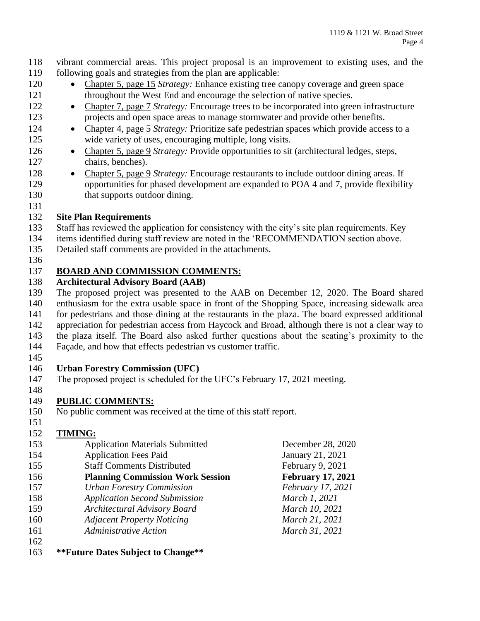vibrant commercial areas. This project proposal is an improvement to existing uses, and the following goals and strategies from the plan are applicable:

- Chapter 5, page 15 *Strategy:* Enhance existing tree canopy coverage and green space 121 throughout the West End and encourage the selection of native species.
- 122 Chapter 7, page 7 *Strategy:* Encourage trees to be incorporated into green infrastructure projects and open space areas to manage stormwater and provide other benefits.
- 124 Chapter 4, page 5 *Strategy:* Prioritize safe pedestrian spaces which provide access to a wide variety of uses, encouraging multiple, long visits.
- 126 Chapter 5, page 9 *Strategy:* Provide opportunities to sit (architectural ledges, steps, chairs, benches).
- Chapter 5, page 9 *Strategy:* Encourage restaurants to include outdoor dining areas. If opportunities for phased development are expanded to POA 4 and 7, provide flexibility 130 that supports outdoor dining.
- 

## **Site Plan Requirements**

- Staff has reviewed the application for consistency with the city's site plan requirements. Key
- items identified during staff review are noted in the 'RECOMMENDATION section above.
- Detailed staff comments are provided in the attachments.
- 

# **BOARD AND COMMISSION COMMENTS:**

## **Architectural Advisory Board (AAB)**

 The proposed project was presented to the AAB on December 12, 2020. The Board shared enthusiasm for the extra usable space in front of the Shopping Space, increasing sidewalk area for pedestrians and those dining at the restaurants in the plaza. The board expressed additional appreciation for pedestrian access from Haycock and Broad, although there is not a clear way to the plaza itself. The Board also asked further questions about the seating's proximity to the

- Façade, and how that effects pedestrian vs customer traffic.
- 

## **Urban Forestry Commission (UFC)**

- The proposed project is scheduled for the UFC's February 17, 2021 meeting.
- 

# **PUBLIC COMMENTS:**

- No public comment was received at the time of this staff report.
- $\frac{151}{152}$ TIMING.

| 1J <sub>2</sub> | т питите.                               |                          |
|-----------------|-----------------------------------------|--------------------------|
| 153             | <b>Application Materials Submitted</b>  | December 28, 2020        |
| 154             | <b>Application Fees Paid</b>            | January 21, 2021         |
| 155             | <b>Staff Comments Distributed</b>       | February 9, 2021         |
| 156             | <b>Planning Commission Work Session</b> | <b>February 17, 2021</b> |
| 157             | <b>Urban Forestry Commission</b>        | February 17, 2021        |
| 158             | <b>Application Second Submission</b>    | March 1, 2021            |
| 159             | <b>Architectural Advisory Board</b>     | March 10, 2021           |
| 160             | <b>Adjacent Property Noticing</b>       | March 21, 2021           |
| 161             | <b>Administrative Action</b>            | March 31, 2021           |
| 162             |                                         |                          |

**\*\*Future Dates Subject to Change\*\***